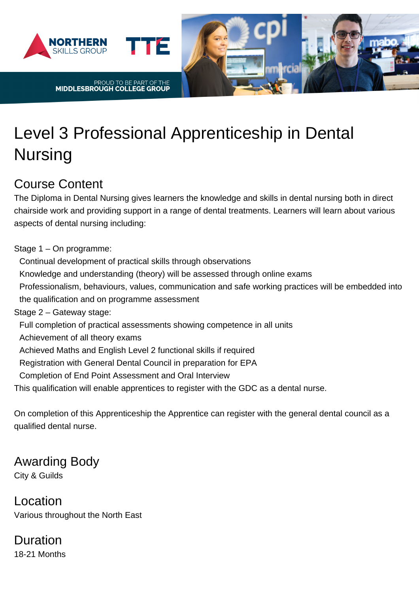



# Level 3 Professional Apprenticeship in Dental Nursing

#### Course Content

The Diploma in Dental Nursing gives learners the knowledge and skills in dental nursing both in direct chairside work and providing support in a range of dental treatments. Learners will learn about various aspects of dental nursing including:

mercia

Stage 1 – On programme:

Continual development of practical skills through observations Knowledge and understanding (theory) will be assessed through online exams Professionalism, behaviours, values, communication and safe working practices will be embedded into the qualification and on programme assessment Stage 2 – Gateway stage: Full completion of practical assessments showing competence in all units Achievement of all theory exams Achieved Maths and English Level 2 functional skills if required Registration with General Dental Council in preparation for EPA Completion of End Point Assessment and Oral Interview This qualification will enable apprentices to register with the GDC as a dental nurse.

On completion of this Apprenticeship the Apprentice can register with the general dental council as a qualified dental nurse.

## Awarding Body

City & Guilds

Location Various throughout the North East

Duration 18-21 Months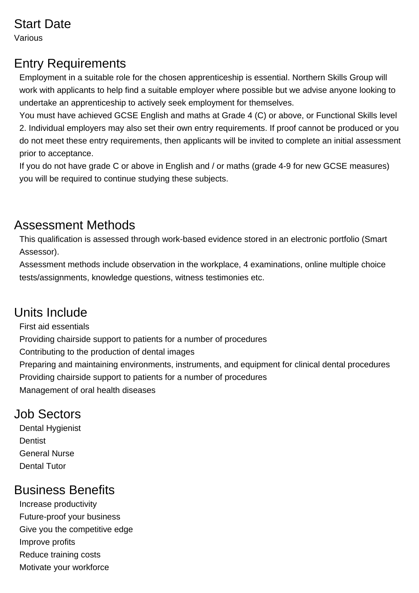### Start Date

Various

#### Entry Requirements

Employment in a suitable role for the chosen apprenticeship is essential. Northern Skills Group will work with applicants to help find a suitable employer where possible but we advise anyone looking to undertake an apprenticeship to actively seek employment for themselves.

You must have achieved GCSE English and maths at Grade 4 (C) or above, or Functional Skills level 2. Individual employers may also set their own entry requirements. If proof cannot be produced or you do not meet these entry requirements, then applicants will be invited to complete an initial assessment prior to acceptance.

If you do not have grade C or above in English and / or maths (grade 4-9 for new GCSE measures) you will be required to continue studying these subjects.

### Assessment Methods

This qualification is assessed through work-based evidence stored in an electronic portfolio (Smart Assessor).

Assessment methods include observation in the workplace, 4 examinations, online multiple choice tests/assignments, knowledge questions, witness testimonies etc.

## Units Include

First aid essentials Providing chairside support to patients for a number of procedures Contributing to the production of dental images Preparing and maintaining environments, instruments, and equipment for clinical dental procedures Providing chairside support to patients for a number of procedures Management of oral health diseases

## Job Sectors

Dental Hygienist **Dentist** General Nurse Dental Tutor

### Business Benefits

- Increase productivity Future-proof your business
- Give you the competitive edge
- Improve profits
- 
- Reduce training costs Motivate your workforce